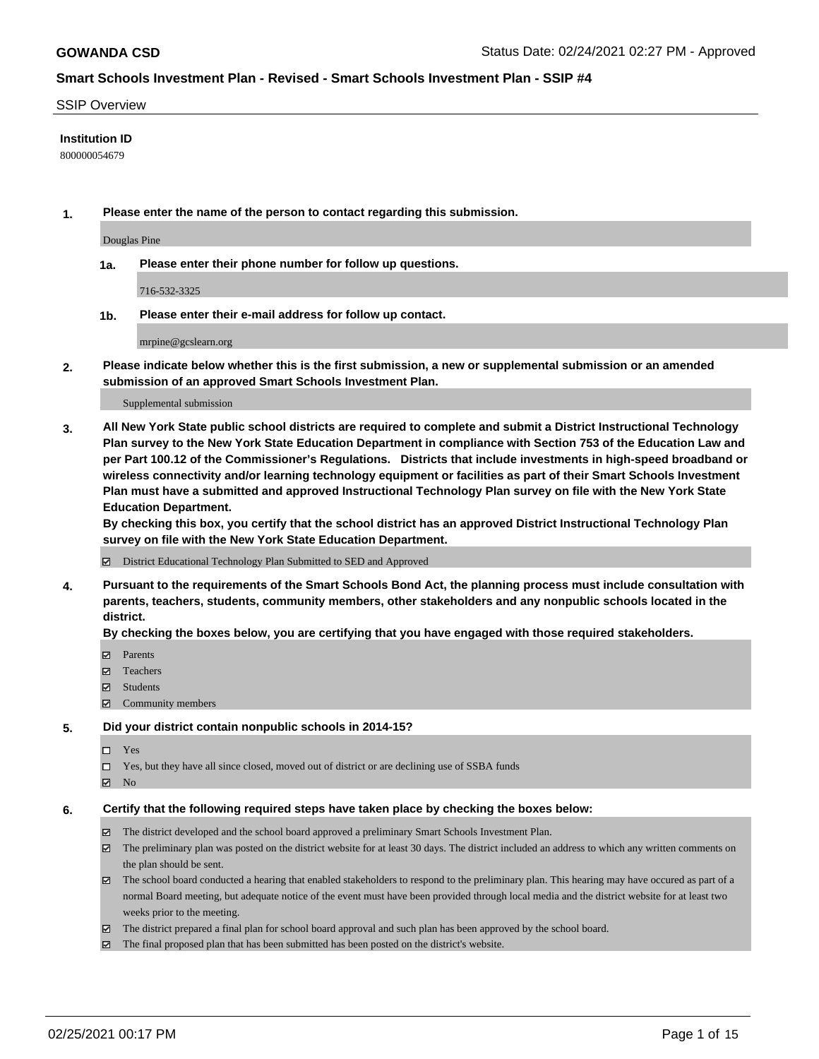### SSIP Overview

### **Institution ID**

800000054679

**1. Please enter the name of the person to contact regarding this submission.**

Douglas Pine

**1a. Please enter their phone number for follow up questions.**

716-532-3325

**1b. Please enter their e-mail address for follow up contact.**

mrpine@gcslearn.org

**2. Please indicate below whether this is the first submission, a new or supplemental submission or an amended submission of an approved Smart Schools Investment Plan.**

#### Supplemental submission

**3. All New York State public school districts are required to complete and submit a District Instructional Technology Plan survey to the New York State Education Department in compliance with Section 753 of the Education Law and per Part 100.12 of the Commissioner's Regulations. Districts that include investments in high-speed broadband or wireless connectivity and/or learning technology equipment or facilities as part of their Smart Schools Investment Plan must have a submitted and approved Instructional Technology Plan survey on file with the New York State Education Department.** 

**By checking this box, you certify that the school district has an approved District Instructional Technology Plan survey on file with the New York State Education Department.**

District Educational Technology Plan Submitted to SED and Approved

**4. Pursuant to the requirements of the Smart Schools Bond Act, the planning process must include consultation with parents, teachers, students, community members, other stakeholders and any nonpublic schools located in the district.** 

### **By checking the boxes below, you are certifying that you have engaged with those required stakeholders.**

- **Ø** Parents
- Teachers
- Students
- Community members

#### **5. Did your district contain nonpublic schools in 2014-15?**

- □ Yes
- □ Yes, but they have all since closed, moved out of district or are declining use of SSBA funds
- **Ø** No

### **6. Certify that the following required steps have taken place by checking the boxes below:**

- The district developed and the school board approved a preliminary Smart Schools Investment Plan.
- The preliminary plan was posted on the district website for at least 30 days. The district included an address to which any written comments on the plan should be sent.
- The school board conducted a hearing that enabled stakeholders to respond to the preliminary plan. This hearing may have occured as part of a normal Board meeting, but adequate notice of the event must have been provided through local media and the district website for at least two weeks prior to the meeting.
- The district prepared a final plan for school board approval and such plan has been approved by the school board.
- $\boxtimes$  The final proposed plan that has been submitted has been posted on the district's website.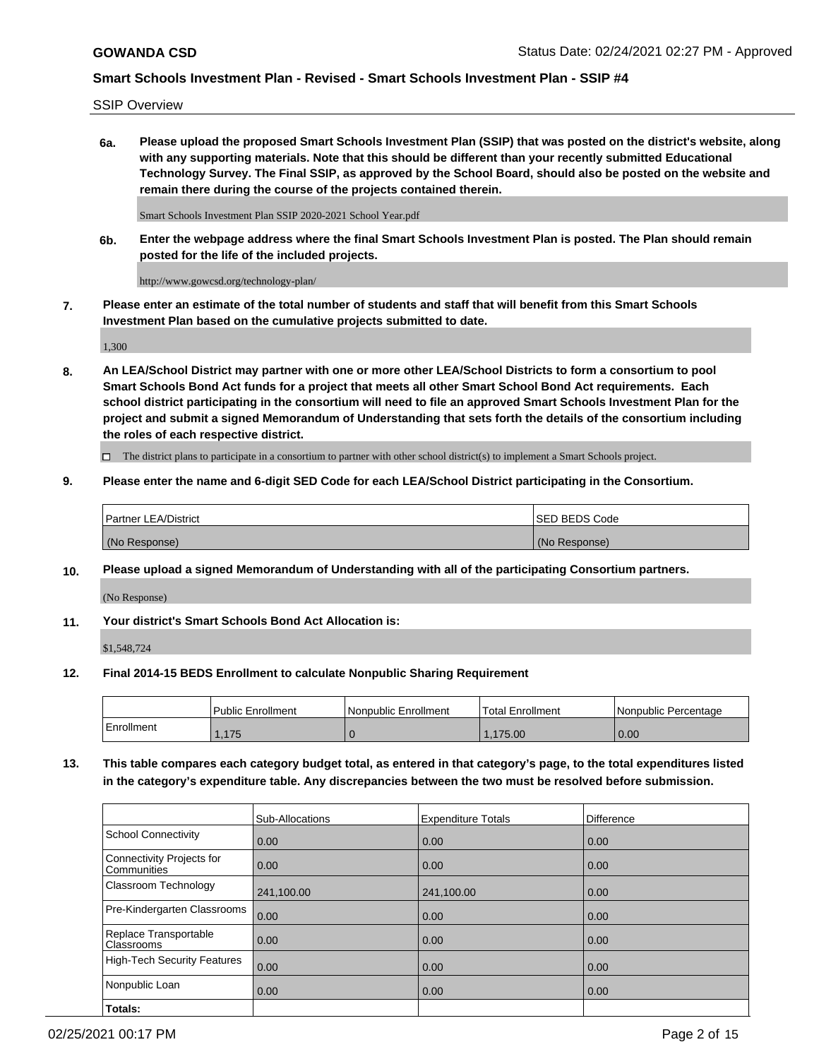SSIP Overview

**6a. Please upload the proposed Smart Schools Investment Plan (SSIP) that was posted on the district's website, along with any supporting materials. Note that this should be different than your recently submitted Educational Technology Survey. The Final SSIP, as approved by the School Board, should also be posted on the website and remain there during the course of the projects contained therein.**

Smart Schools Investment Plan SSIP 2020-2021 School Year.pdf

**6b. Enter the webpage address where the final Smart Schools Investment Plan is posted. The Plan should remain posted for the life of the included projects.**

http://www.gowcsd.org/technology-plan/

**7. Please enter an estimate of the total number of students and staff that will benefit from this Smart Schools Investment Plan based on the cumulative projects submitted to date.**

1,300

**8. An LEA/School District may partner with one or more other LEA/School Districts to form a consortium to pool Smart Schools Bond Act funds for a project that meets all other Smart School Bond Act requirements. Each school district participating in the consortium will need to file an approved Smart Schools Investment Plan for the project and submit a signed Memorandum of Understanding that sets forth the details of the consortium including the roles of each respective district.**

 $\Box$  The district plans to participate in a consortium to partner with other school district(s) to implement a Smart Schools project.

### **9. Please enter the name and 6-digit SED Code for each LEA/School District participating in the Consortium.**

| Partner LEA/District | ISED BEDS Code |
|----------------------|----------------|
| (No Response)        | (No Response)  |

### **10. Please upload a signed Memorandum of Understanding with all of the participating Consortium partners.**

(No Response)

**11. Your district's Smart Schools Bond Act Allocation is:**

\$1,548,724

### **12. Final 2014-15 BEDS Enrollment to calculate Nonpublic Sharing Requirement**

|            | Public Enrollment | Nonpublic Enrollment | Total Enrollment | Nonpublic Percentage |
|------------|-------------------|----------------------|------------------|----------------------|
| Enrollment | .175              |                      | .175.00          | 0.00                 |

**13. This table compares each category budget total, as entered in that category's page, to the total expenditures listed in the category's expenditure table. Any discrepancies between the two must be resolved before submission.**

|                                          | Sub-Allocations | <b>Expenditure Totals</b> | Difference |
|------------------------------------------|-----------------|---------------------------|------------|
| <b>School Connectivity</b>               | 0.00            | 0.00                      | 0.00       |
| Connectivity Projects for<br>Communities | 0.00            | 0.00                      | 0.00       |
| Classroom Technology                     | 241,100.00      | 241,100.00                | 0.00       |
| Pre-Kindergarten Classrooms              | 0.00            | 0.00                      | 0.00       |
| Replace Transportable<br>Classrooms      | 0.00            | 0.00                      | 0.00       |
| <b>High-Tech Security Features</b>       | 0.00            | 0.00                      | 0.00       |
| Nonpublic Loan                           | 0.00            | 0.00                      | 0.00       |
| Totals:                                  |                 |                           |            |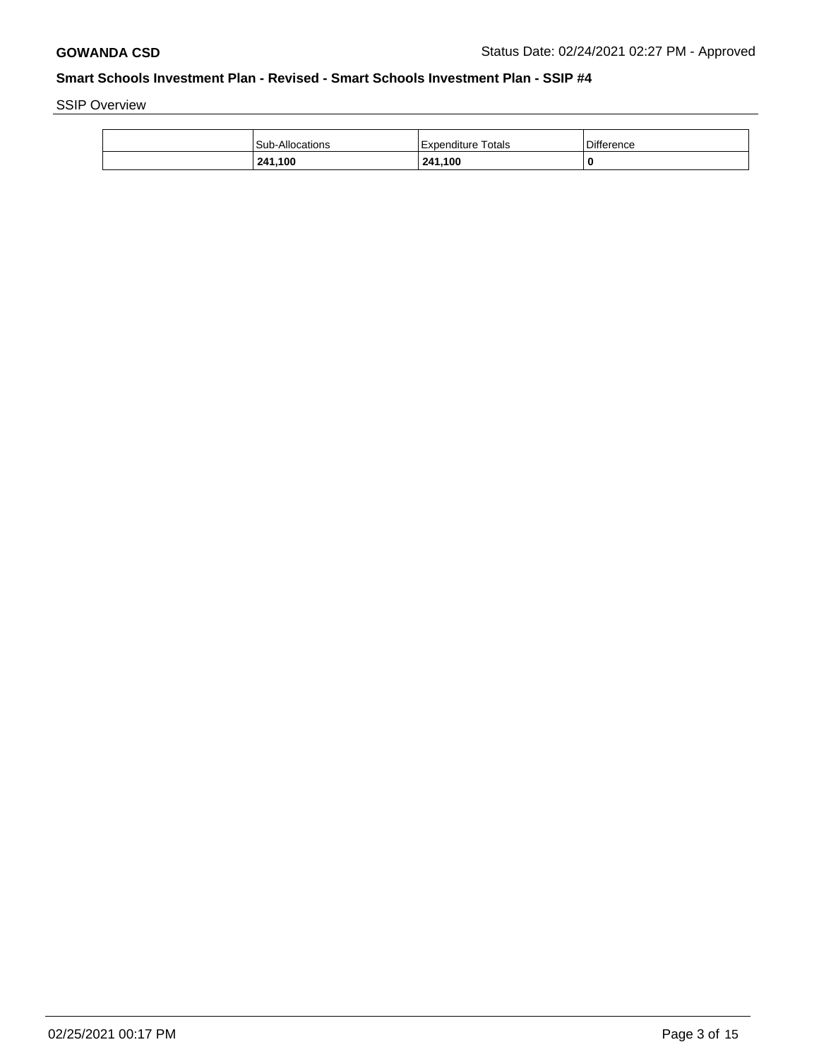SSIP Overview

| 241,100                | 241,100                 | 0                 |
|------------------------|-------------------------|-------------------|
| <b>Sub-Allocations</b> | Totals<br>l Expenditure | <b>Difference</b> |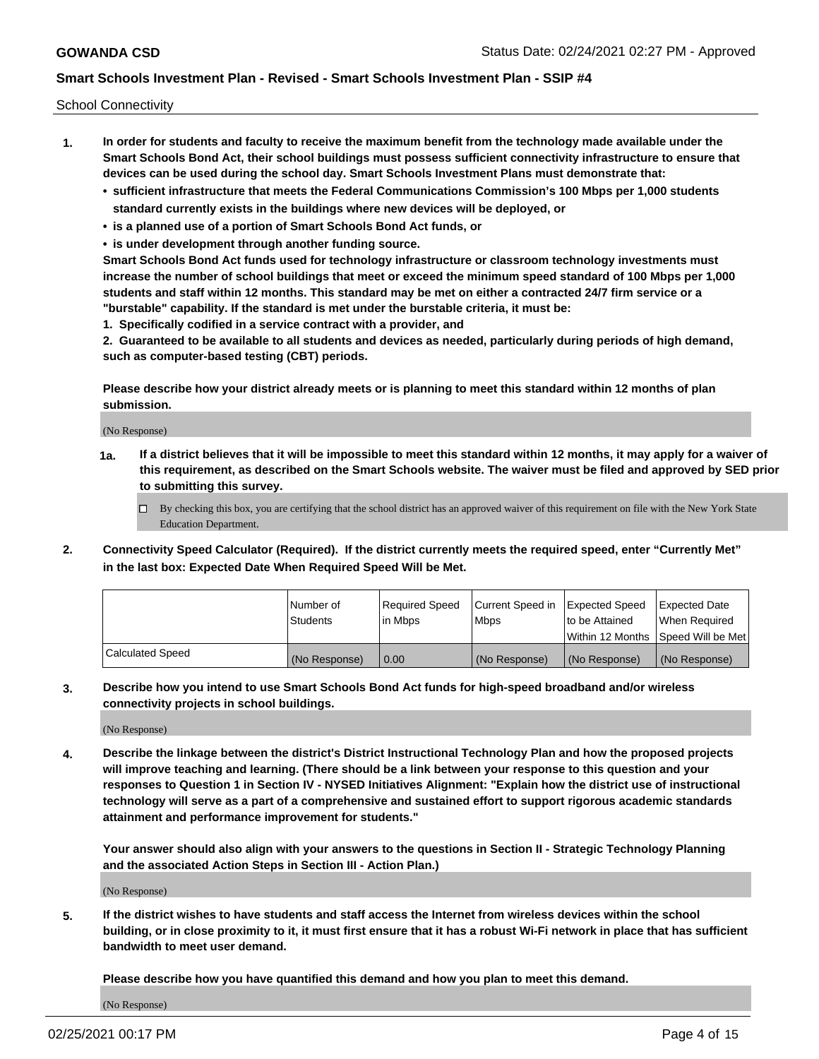School Connectivity

- **1. In order for students and faculty to receive the maximum benefit from the technology made available under the Smart Schools Bond Act, their school buildings must possess sufficient connectivity infrastructure to ensure that devices can be used during the school day. Smart Schools Investment Plans must demonstrate that:**
	- **• sufficient infrastructure that meets the Federal Communications Commission's 100 Mbps per 1,000 students standard currently exists in the buildings where new devices will be deployed, or**
	- **• is a planned use of a portion of Smart Schools Bond Act funds, or**
	- **• is under development through another funding source.**

**Smart Schools Bond Act funds used for technology infrastructure or classroom technology investments must increase the number of school buildings that meet or exceed the minimum speed standard of 100 Mbps per 1,000 students and staff within 12 months. This standard may be met on either a contracted 24/7 firm service or a "burstable" capability. If the standard is met under the burstable criteria, it must be:**

**1. Specifically codified in a service contract with a provider, and**

**2. Guaranteed to be available to all students and devices as needed, particularly during periods of high demand, such as computer-based testing (CBT) periods.**

**Please describe how your district already meets or is planning to meet this standard within 12 months of plan submission.**

(No Response)

**1a. If a district believes that it will be impossible to meet this standard within 12 months, it may apply for a waiver of this requirement, as described on the Smart Schools website. The waiver must be filed and approved by SED prior to submitting this survey.**

 $\Box$  By checking this box, you are certifying that the school district has an approved waiver of this requirement on file with the New York State Education Department.

**2. Connectivity Speed Calculator (Required). If the district currently meets the required speed, enter "Currently Met" in the last box: Expected Date When Required Speed Will be Met.**

|                  | l Number of     | Required Speed | Current Speed in | Expected Speed  | Expected Date                           |
|------------------|-----------------|----------------|------------------|-----------------|-----------------------------------------|
|                  | <b>Students</b> | In Mbps        | l Mbps           | to be Attained  | When Required                           |
|                  |                 |                |                  |                 | l Within 12 Months ISpeed Will be Met l |
| Calculated Speed | (No Response)   | 0.00           | (No Response)    | l (No Response) | l (No Response)                         |

**3. Describe how you intend to use Smart Schools Bond Act funds for high-speed broadband and/or wireless connectivity projects in school buildings.**

(No Response)

**4. Describe the linkage between the district's District Instructional Technology Plan and how the proposed projects will improve teaching and learning. (There should be a link between your response to this question and your responses to Question 1 in Section IV - NYSED Initiatives Alignment: "Explain how the district use of instructional technology will serve as a part of a comprehensive and sustained effort to support rigorous academic standards attainment and performance improvement for students."** 

**Your answer should also align with your answers to the questions in Section II - Strategic Technology Planning and the associated Action Steps in Section III - Action Plan.)**

(No Response)

**5. If the district wishes to have students and staff access the Internet from wireless devices within the school building, or in close proximity to it, it must first ensure that it has a robust Wi-Fi network in place that has sufficient bandwidth to meet user demand.**

**Please describe how you have quantified this demand and how you plan to meet this demand.**

(No Response)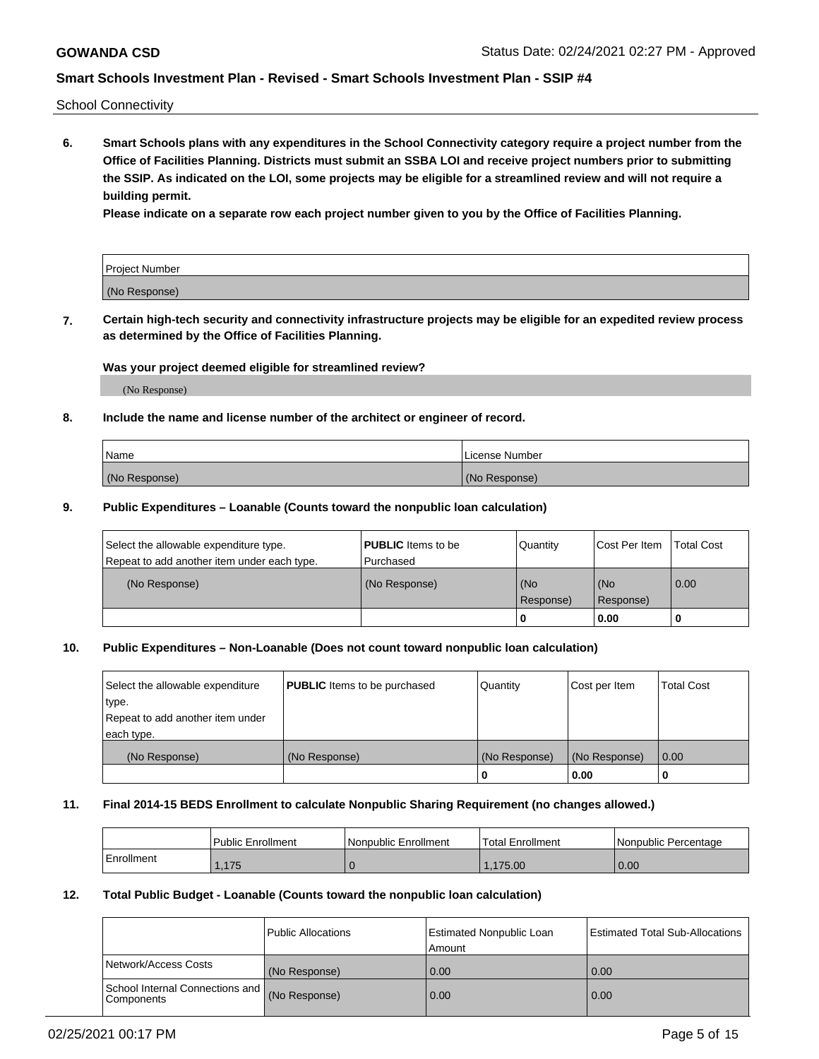School Connectivity

**6. Smart Schools plans with any expenditures in the School Connectivity category require a project number from the Office of Facilities Planning. Districts must submit an SSBA LOI and receive project numbers prior to submitting the SSIP. As indicated on the LOI, some projects may be eligible for a streamlined review and will not require a building permit.**

**Please indicate on a separate row each project number given to you by the Office of Facilities Planning.**

| Project Number |  |
|----------------|--|
| (No Response)  |  |

**7. Certain high-tech security and connectivity infrastructure projects may be eligible for an expedited review process as determined by the Office of Facilities Planning.**

### **Was your project deemed eligible for streamlined review?**

(No Response)

### **8. Include the name and license number of the architect or engineer of record.**

| Name          | License Number |
|---------------|----------------|
| (No Response) | (No Response)  |

### **9. Public Expenditures – Loanable (Counts toward the nonpublic loan calculation)**

| Select the allowable expenditure type.<br>Repeat to add another item under each type. | <b>PUBLIC</b> Items to be<br>l Purchased | Quantity           | Cost Per Item    | <b>Total Cost</b> |
|---------------------------------------------------------------------------------------|------------------------------------------|--------------------|------------------|-------------------|
| (No Response)                                                                         | (No Response)                            | l (No<br>Response) | (No<br>Response) | $\overline{0.00}$ |
|                                                                                       |                                          | O                  | 0.00             |                   |

## **10. Public Expenditures – Non-Loanable (Does not count toward nonpublic loan calculation)**

| Select the allowable expenditure<br>type.<br>Repeat to add another item under<br>each type. | <b>PUBLIC</b> Items to be purchased | Quantity      | Cost per Item | <b>Total Cost</b> |
|---------------------------------------------------------------------------------------------|-------------------------------------|---------------|---------------|-------------------|
| (No Response)                                                                               | (No Response)                       | (No Response) | (No Response) | 0.00              |
|                                                                                             |                                     |               | 0.00          |                   |

#### **11. Final 2014-15 BEDS Enrollment to calculate Nonpublic Sharing Requirement (no changes allowed.)**

|            | Public Enrollment | l Nonpublic Enrollment | <b>Total Enrollment</b> | Nonpublic Percentage |
|------------|-------------------|------------------------|-------------------------|----------------------|
| Enrollment | 1.175             |                        | .175.00                 | 0.00                 |

### **12. Total Public Budget - Loanable (Counts toward the nonpublic loan calculation)**

|                                                      | Public Allocations | <b>Estimated Nonpublic Loan</b><br>Amount | Estimated Total Sub-Allocations |
|------------------------------------------------------|--------------------|-------------------------------------------|---------------------------------|
| Network/Access Costs                                 | (No Response)      | 0.00                                      | 0.00                            |
| School Internal Connections and<br><b>Components</b> | (No Response)      | 0.00                                      | 0.00                            |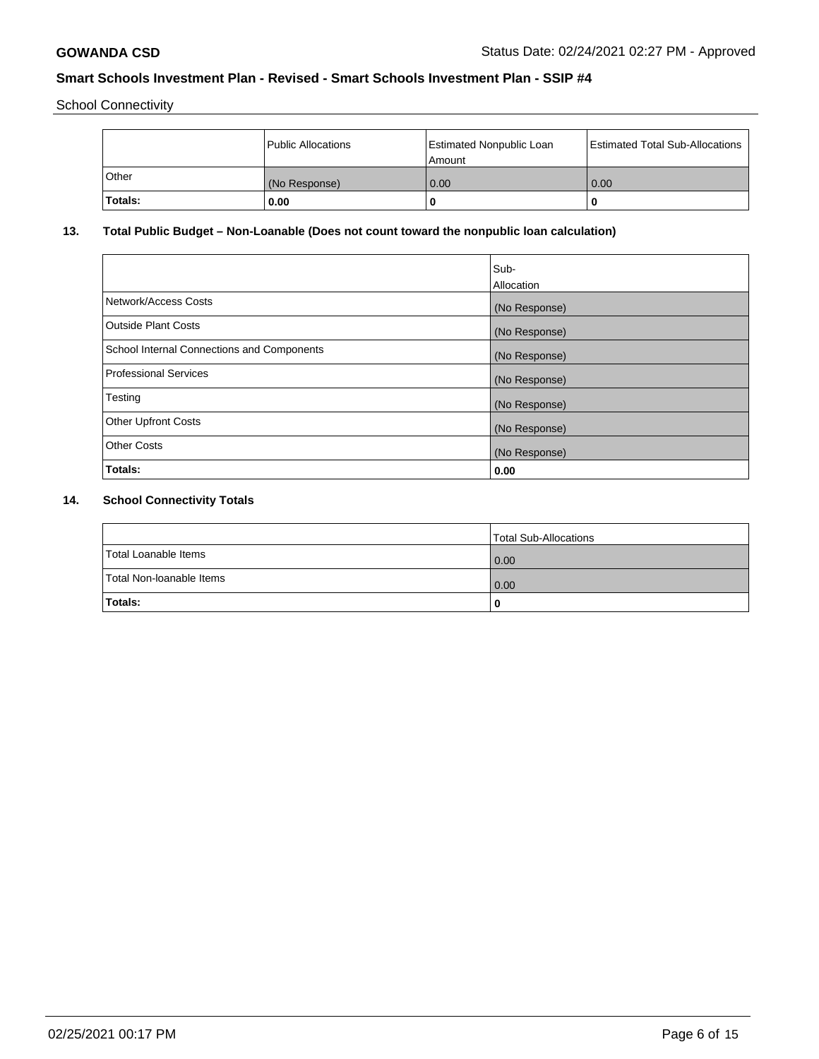School Connectivity

|         | <b>Public Allocations</b> | <b>Estimated Nonpublic Loan</b><br>l Amount i | <b>Estimated Total Sub-Allocations</b> |
|---------|---------------------------|-----------------------------------------------|----------------------------------------|
| Other   | (No Response)             | 0.00                                          | 0.00                                   |
| Totals: | 0.00                      | 0                                             | ш                                      |

## **13. Total Public Budget – Non-Loanable (Does not count toward the nonpublic loan calculation)**

|                                                   | Sub-<br>Allocation |
|---------------------------------------------------|--------------------|
| Network/Access Costs                              | (No Response)      |
| Outside Plant Costs                               | (No Response)      |
| <b>School Internal Connections and Components</b> | (No Response)      |
| Professional Services                             | (No Response)      |
| Testing                                           | (No Response)      |
| <b>Other Upfront Costs</b>                        | (No Response)      |
| <b>Other Costs</b>                                | (No Response)      |
| Totals:                                           | 0.00               |

## **14. School Connectivity Totals**

|                          | Total Sub-Allocations |
|--------------------------|-----------------------|
| Total Loanable Items     | 0.00                  |
| Total Non-Ioanable Items | 0.00                  |
| Totals:                  | 0                     |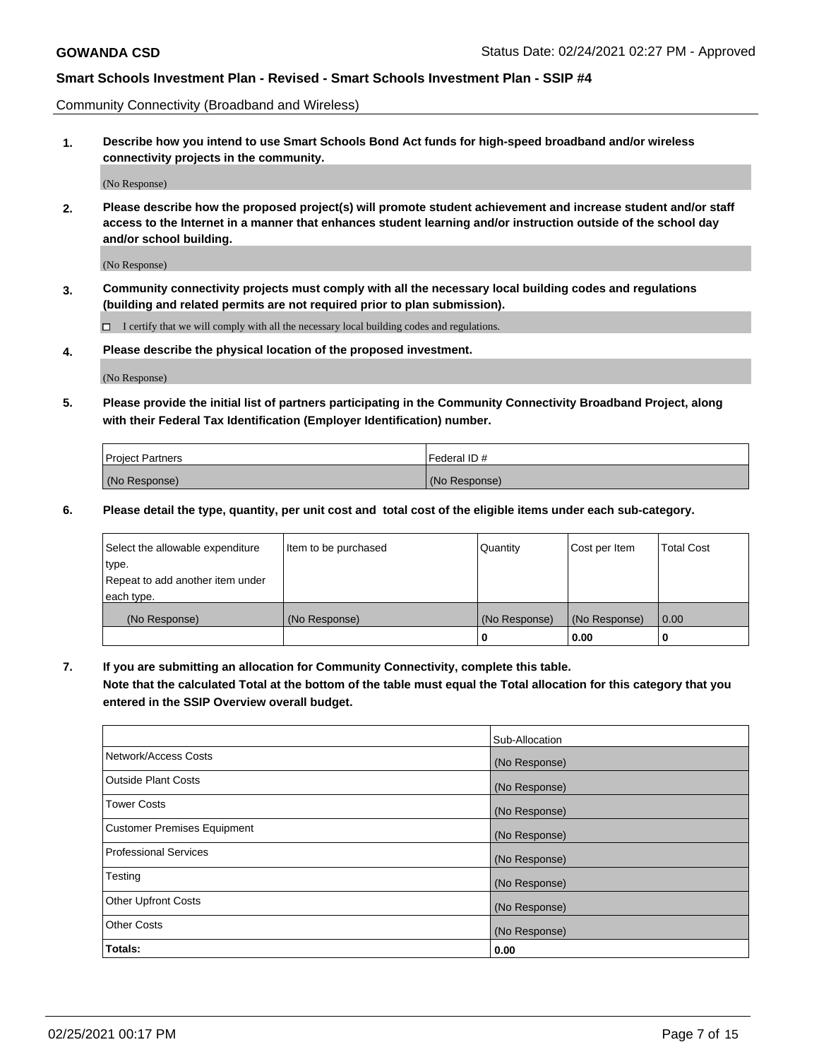Community Connectivity (Broadband and Wireless)

**1. Describe how you intend to use Smart Schools Bond Act funds for high-speed broadband and/or wireless connectivity projects in the community.**

(No Response)

**2. Please describe how the proposed project(s) will promote student achievement and increase student and/or staff access to the Internet in a manner that enhances student learning and/or instruction outside of the school day and/or school building.**

(No Response)

**3. Community connectivity projects must comply with all the necessary local building codes and regulations (building and related permits are not required prior to plan submission).**

 $\Box$  I certify that we will comply with all the necessary local building codes and regulations.

**4. Please describe the physical location of the proposed investment.**

(No Response)

**5. Please provide the initial list of partners participating in the Community Connectivity Broadband Project, along with their Federal Tax Identification (Employer Identification) number.**

| <b>Project Partners</b> | l Federal ID # |
|-------------------------|----------------|
| (No Response)           | (No Response)  |

**6. Please detail the type, quantity, per unit cost and total cost of the eligible items under each sub-category.**

| Select the allowable expenditure | Item to be purchased | Quantity      | Cost per Item | <b>Total Cost</b> |
|----------------------------------|----------------------|---------------|---------------|-------------------|
| type.                            |                      |               |               |                   |
| Repeat to add another item under |                      |               |               |                   |
| each type.                       |                      |               |               |                   |
| (No Response)                    | (No Response)        | (No Response) | (No Response) | 0.00              |
|                                  |                      | o             | 0.00          |                   |

**7. If you are submitting an allocation for Community Connectivity, complete this table.**

**Note that the calculated Total at the bottom of the table must equal the Total allocation for this category that you entered in the SSIP Overview overall budget.**

|                                    | Sub-Allocation |
|------------------------------------|----------------|
| Network/Access Costs               | (No Response)  |
| Outside Plant Costs                | (No Response)  |
| <b>Tower Costs</b>                 | (No Response)  |
| <b>Customer Premises Equipment</b> | (No Response)  |
| <b>Professional Services</b>       | (No Response)  |
| Testing                            | (No Response)  |
| <b>Other Upfront Costs</b>         | (No Response)  |
| <b>Other Costs</b>                 | (No Response)  |
| Totals:                            | 0.00           |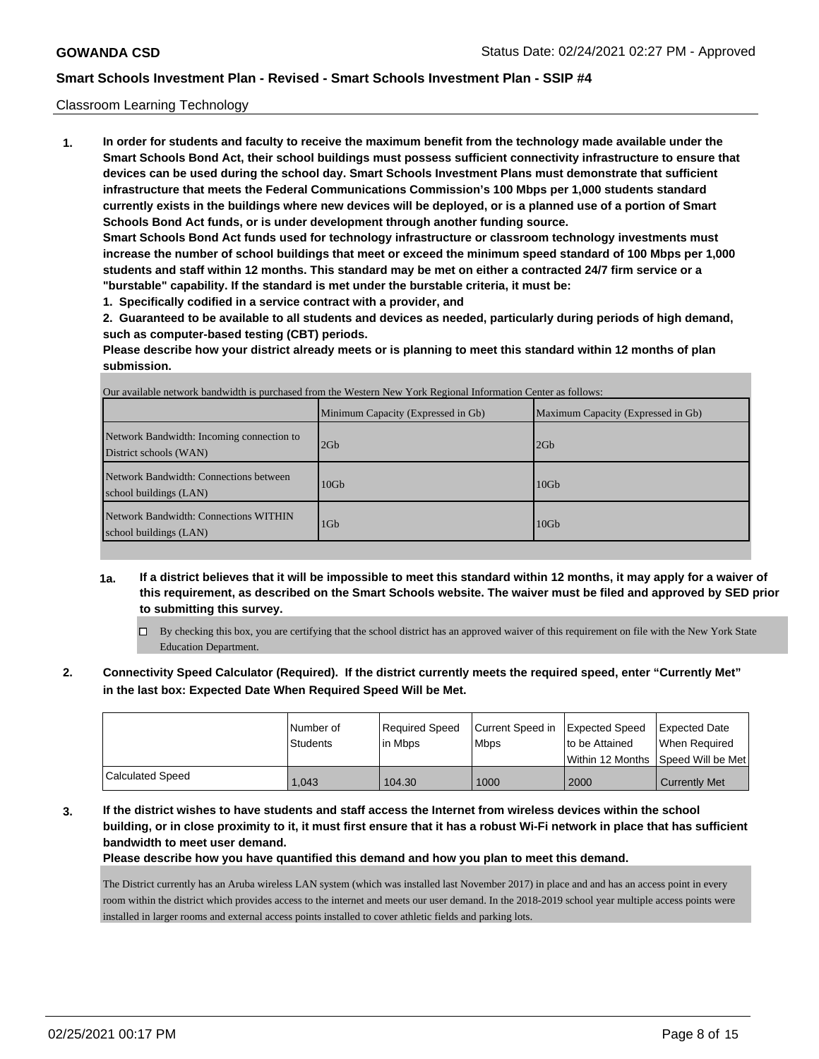### Classroom Learning Technology

**1. In order for students and faculty to receive the maximum benefit from the technology made available under the Smart Schools Bond Act, their school buildings must possess sufficient connectivity infrastructure to ensure that devices can be used during the school day. Smart Schools Investment Plans must demonstrate that sufficient infrastructure that meets the Federal Communications Commission's 100 Mbps per 1,000 students standard currently exists in the buildings where new devices will be deployed, or is a planned use of a portion of Smart Schools Bond Act funds, or is under development through another funding source. Smart Schools Bond Act funds used for technology infrastructure or classroom technology investments must increase the number of school buildings that meet or exceed the minimum speed standard of 100 Mbps per 1,000**

**students and staff within 12 months. This standard may be met on either a contracted 24/7 firm service or a "burstable" capability. If the standard is met under the burstable criteria, it must be:**

**1. Specifically codified in a service contract with a provider, and**

**2. Guaranteed to be available to all students and devices as needed, particularly during periods of high demand, such as computer-based testing (CBT) periods.**

**Please describe how your district already meets or is planning to meet this standard within 12 months of plan submission.**

|                                                                     | Our available network bandwidth is purchased from the Western New York Regional Information Center as follows:<br>Minimum Capacity (Expressed in Gb) | Maximum Capacity (Expressed in Gb) |
|---------------------------------------------------------------------|------------------------------------------------------------------------------------------------------------------------------------------------------|------------------------------------|
| Network Bandwidth: Incoming connection to<br>District schools (WAN) | 2Gb                                                                                                                                                  | 2Gb                                |
| Network Bandwidth: Connections between<br>school buildings (LAN)    | 10 <sub>Gb</sub>                                                                                                                                     | 10 <sub>Gb</sub>                   |
| Network Bandwidth: Connections WITHIN<br>school buildings (LAN)     | $1$ G <sub>b</sub>                                                                                                                                   | $10$ Gb                            |

Our available network bandwidth is purchased from the Western New York Regional Information Center as follows:

- **1a. If a district believes that it will be impossible to meet this standard within 12 months, it may apply for a waiver of this requirement, as described on the Smart Schools website. The waiver must be filed and approved by SED prior to submitting this survey.**
	- $\Box$  By checking this box, you are certifying that the school district has an approved waiver of this requirement on file with the New York State Education Department.
- **2. Connectivity Speed Calculator (Required). If the district currently meets the required speed, enter "Currently Met" in the last box: Expected Date When Required Speed Will be Met.**

|                  | l Number of<br>l Students | Required Speed<br>lin Mbps | Current Speed in<br><b>Mbps</b> | Expected Speed<br>to be Attained | <b>Expected Date</b><br>When Required |
|------------------|---------------------------|----------------------------|---------------------------------|----------------------------------|---------------------------------------|
|                  |                           |                            |                                 |                                  | Within 12 Months Speed Will be Met    |
| Calculated Speed | 1.043                     | 104.30                     | 1000                            | 2000                             | <b>Currently Met</b>                  |

**3. If the district wishes to have students and staff access the Internet from wireless devices within the school building, or in close proximity to it, it must first ensure that it has a robust Wi-Fi network in place that has sufficient bandwidth to meet user demand.**

**Please describe how you have quantified this demand and how you plan to meet this demand.**

The District currently has an Aruba wireless LAN system (which was installed last November 2017) in place and and has an access point in every room within the district which provides access to the internet and meets our user demand. In the 2018-2019 school year multiple access points were installed in larger rooms and external access points installed to cover athletic fields and parking lots.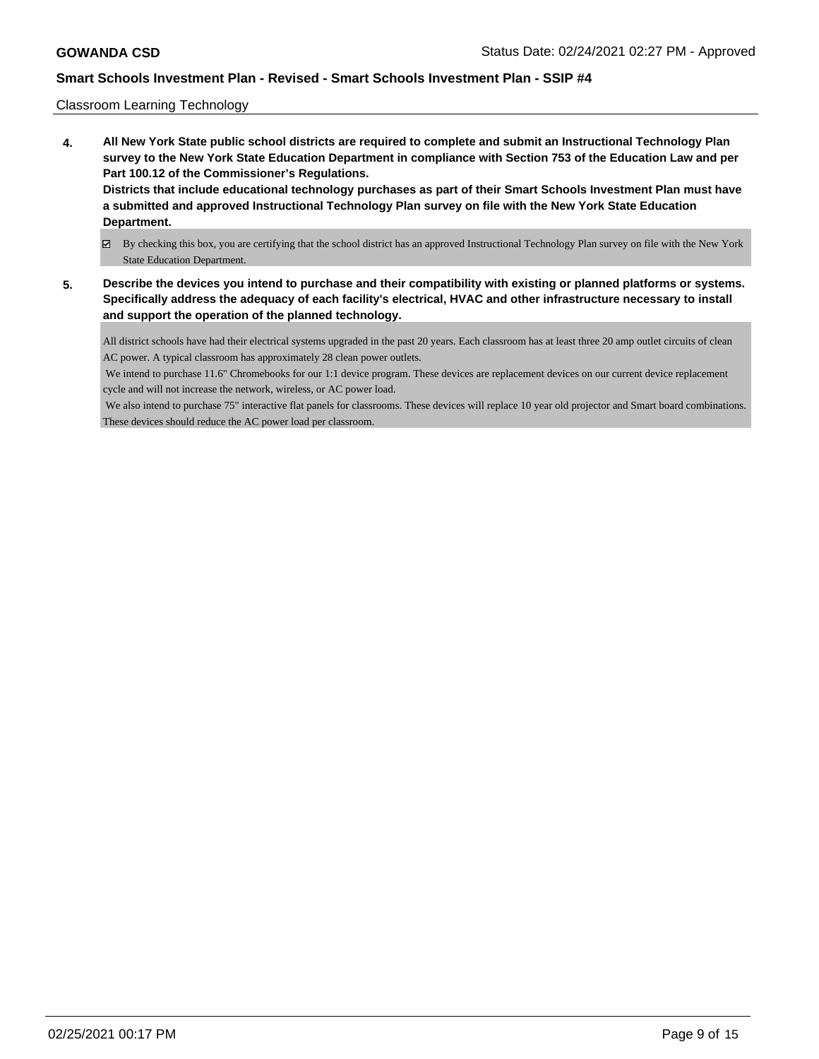### Classroom Learning Technology

- **4. All New York State public school districts are required to complete and submit an Instructional Technology Plan survey to the New York State Education Department in compliance with Section 753 of the Education Law and per Part 100.12 of the Commissioner's Regulations. Districts that include educational technology purchases as part of their Smart Schools Investment Plan must have a submitted and approved Instructional Technology Plan survey on file with the New York State Education Department.**
	- By checking this box, you are certifying that the school district has an approved Instructional Technology Plan survey on file with the New York State Education Department.
- **5. Describe the devices you intend to purchase and their compatibility with existing or planned platforms or systems. Specifically address the adequacy of each facility's electrical, HVAC and other infrastructure necessary to install and support the operation of the planned technology.**

All district schools have had their electrical systems upgraded in the past 20 years. Each classroom has at least three 20 amp outlet circuits of clean AC power. A typical classroom has approximately 28 clean power outlets.

 We intend to purchase 11.6" Chromebooks for our 1:1 device program. These devices are replacement devices on our current device replacement cycle and will not increase the network, wireless, or AC power load.

 We also intend to purchase 75" interactive flat panels for classrooms. These devices will replace 10 year old projector and Smart board combinations. These devices should reduce the AC power load per classroom.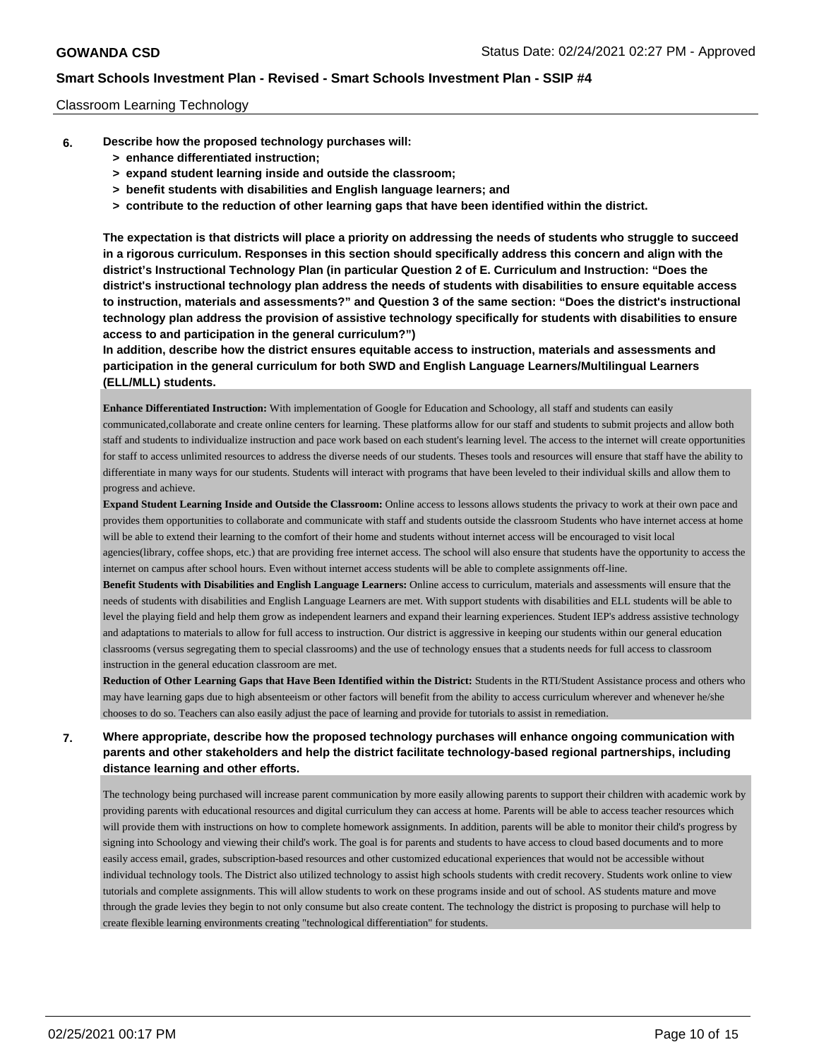### Classroom Learning Technology

- **6. Describe how the proposed technology purchases will:**
	- **> enhance differentiated instruction;**
	- **> expand student learning inside and outside the classroom;**
	- **> benefit students with disabilities and English language learners; and**
	- **> contribute to the reduction of other learning gaps that have been identified within the district.**

**The expectation is that districts will place a priority on addressing the needs of students who struggle to succeed in a rigorous curriculum. Responses in this section should specifically address this concern and align with the district's Instructional Technology Plan (in particular Question 2 of E. Curriculum and Instruction: "Does the district's instructional technology plan address the needs of students with disabilities to ensure equitable access to instruction, materials and assessments?" and Question 3 of the same section: "Does the district's instructional technology plan address the provision of assistive technology specifically for students with disabilities to ensure access to and participation in the general curriculum?")**

**In addition, describe how the district ensures equitable access to instruction, materials and assessments and participation in the general curriculum for both SWD and English Language Learners/Multilingual Learners (ELL/MLL) students.**

**Enhance Differentiated Instruction:** With implementation of Google for Education and Schoology, all staff and students can easily communicated,collaborate and create online centers for learning. These platforms allow for our staff and students to submit projects and allow both staff and students to individualize instruction and pace work based on each student's learning level. The access to the internet will create opportunities for staff to access unlimited resources to address the diverse needs of our students. Theses tools and resources will ensure that staff have the ability to differentiate in many ways for our students. Students will interact with programs that have been leveled to their individual skills and allow them to progress and achieve.

**Expand Student Learning Inside and Outside the Classroom:** Online access to lessons allows students the privacy to work at their own pace and provides them opportunities to collaborate and communicate with staff and students outside the classroom Students who have internet access at home will be able to extend their learning to the comfort of their home and students without internet access will be encouraged to visit local agencies(library, coffee shops, etc.) that are providing free internet access. The school will also ensure that students have the opportunity to access the internet on campus after school hours. Even without internet access students will be able to complete assignments off-line.

**Benefit Students with Disabilities and English Language Learners:** Online access to curriculum, materials and assessments will ensure that the needs of students with disabilities and English Language Learners are met. With support students with disabilities and ELL students will be able to level the playing field and help them grow as independent learners and expand their learning experiences. Student IEP's address assistive technology and adaptations to materials to allow for full access to instruction. Our district is aggressive in keeping our students within our general education classrooms (versus segregating them to special classrooms) and the use of technology ensues that a students needs for full access to classroom instruction in the general education classroom are met.

Reduction of Other Learning Gaps that Have Been Identified within the District: Students in the RTI/Student Assistance process and others who may have learning gaps due to high absenteeism or other factors will benefit from the ability to access curriculum wherever and whenever he/she chooses to do so. Teachers can also easily adjust the pace of learning and provide for tutorials to assist in remediation.

## **7. Where appropriate, describe how the proposed technology purchases will enhance ongoing communication with parents and other stakeholders and help the district facilitate technology-based regional partnerships, including distance learning and other efforts.**

The technology being purchased will increase parent communication by more easily allowing parents to support their children with academic work by providing parents with educational resources and digital curriculum they can access at home. Parents will be able to access teacher resources which will provide them with instructions on how to complete homework assignments. In addition, parents will be able to monitor their child's progress by signing into Schoology and viewing their child's work. The goal is for parents and students to have access to cloud based documents and to more easily access email, grades, subscription-based resources and other customized educational experiences that would not be accessible without individual technology tools. The District also utilized technology to assist high schools students with credit recovery. Students work online to view tutorials and complete assignments. This will allow students to work on these programs inside and out of school. AS students mature and move through the grade levies they begin to not only consume but also create content. The technology the district is proposing to purchase will help to create flexible learning environments creating "technological differentiation" for students.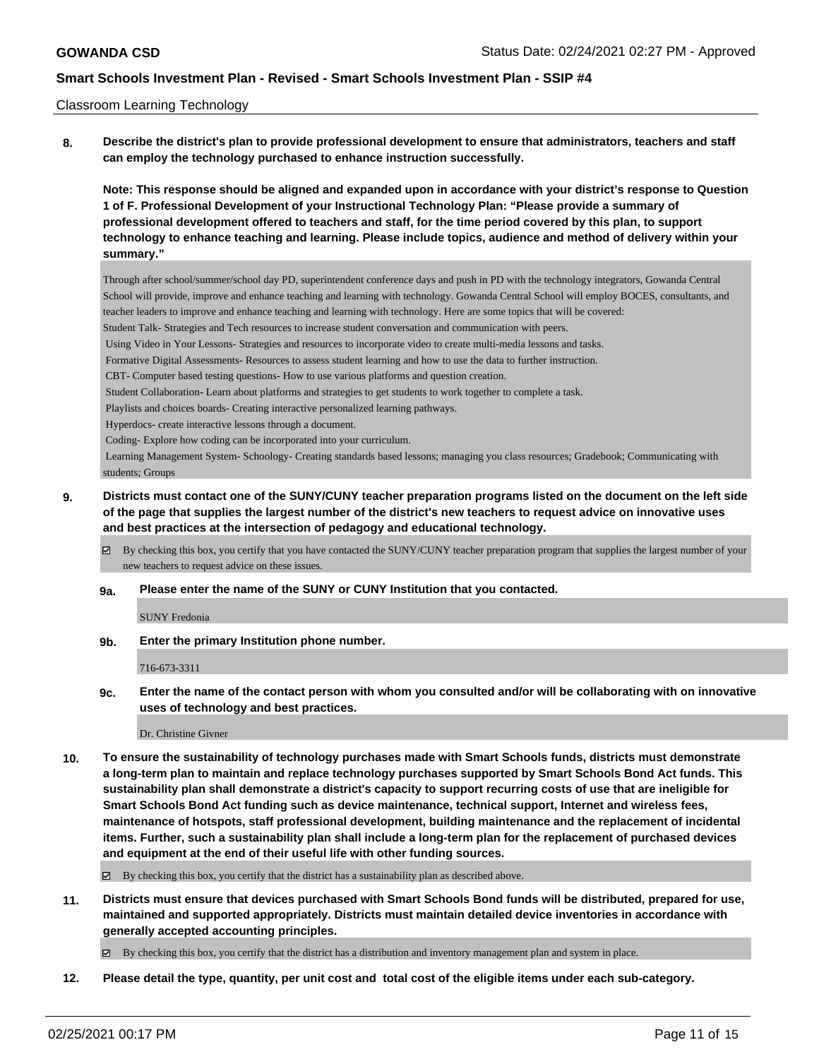### Classroom Learning Technology

**8. Describe the district's plan to provide professional development to ensure that administrators, teachers and staff can employ the technology purchased to enhance instruction successfully.**

**Note: This response should be aligned and expanded upon in accordance with your district's response to Question 1 of F. Professional Development of your Instructional Technology Plan: "Please provide a summary of professional development offered to teachers and staff, for the time period covered by this plan, to support technology to enhance teaching and learning. Please include topics, audience and method of delivery within your summary."**

Through after school/summer/school day PD, superintendent conference days and push in PD with the technology integrators, Gowanda Central School will provide, improve and enhance teaching and learning with technology. Gowanda Central School will employ BOCES, consultants, and teacher leaders to improve and enhance teaching and learning with technology. Here are some topics that will be covered:

Student Talk- Strategies and Tech resources to increase student conversation and communication with peers.

Using Video in Your Lessons- Strategies and resources to incorporate video to create multi-media lessons and tasks.

Formative Digital Assessments- Resources to assess student learning and how to use the data to further instruction.

CBT- Computer based testing questions- How to use various platforms and question creation.

Student Collaboration- Learn about platforms and strategies to get students to work together to complete a task.

Playlists and choices boards- Creating interactive personalized learning pathways.

Hyperdocs- create interactive lessons through a document.

Coding- Explore how coding can be incorporated into your curriculum.

 Learning Management System- Schoology- Creating standards based lessons; managing you class resources; Gradebook; Communicating with students; Groups

## **9. Districts must contact one of the SUNY/CUNY teacher preparation programs listed on the document on the left side of the page that supplies the largest number of the district's new teachers to request advice on innovative uses and best practices at the intersection of pedagogy and educational technology.**

By checking this box, you certify that you have contacted the SUNY/CUNY teacher preparation program that supplies the largest number of your new teachers to request advice on these issues.

**9a. Please enter the name of the SUNY or CUNY Institution that you contacted.**

SUNY Fredonia

**9b. Enter the primary Institution phone number.**

716-673-3311

**9c. Enter the name of the contact person with whom you consulted and/or will be collaborating with on innovative uses of technology and best practices.**

Dr. Christine Givner

**10. To ensure the sustainability of technology purchases made with Smart Schools funds, districts must demonstrate a long-term plan to maintain and replace technology purchases supported by Smart Schools Bond Act funds. This sustainability plan shall demonstrate a district's capacity to support recurring costs of use that are ineligible for Smart Schools Bond Act funding such as device maintenance, technical support, Internet and wireless fees, maintenance of hotspots, staff professional development, building maintenance and the replacement of incidental items. Further, such a sustainability plan shall include a long-term plan for the replacement of purchased devices and equipment at the end of their useful life with other funding sources.**

By checking this box, you certify that the district has a sustainability plan as described above.

**11. Districts must ensure that devices purchased with Smart Schools Bond funds will be distributed, prepared for use, maintained and supported appropriately. Districts must maintain detailed device inventories in accordance with generally accepted accounting principles.**

By checking this box, you certify that the district has a distribution and inventory management plan and system in place.

**12. Please detail the type, quantity, per unit cost and total cost of the eligible items under each sub-category.**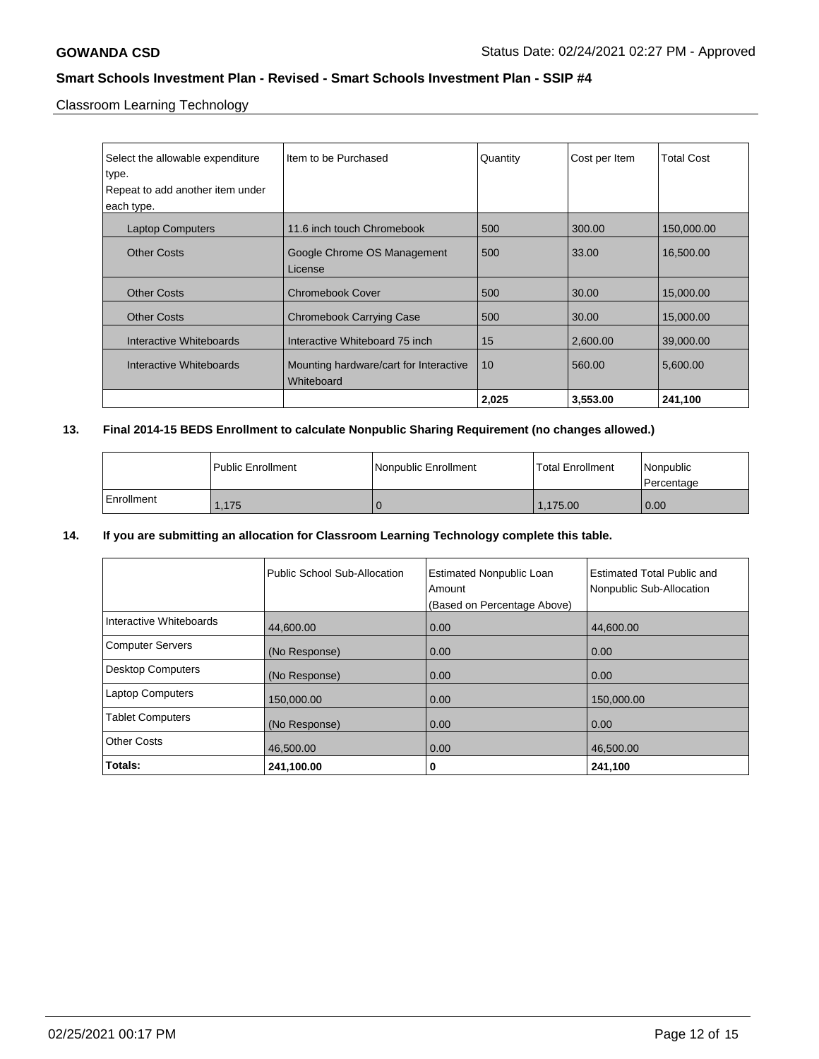Classroom Learning Technology

| Select the allowable expenditure<br>type.<br>Repeat to add another item under<br>each type. | I Item to be Purchased                               | Quantity | Cost per Item | <b>Total Cost</b> |
|---------------------------------------------------------------------------------------------|------------------------------------------------------|----------|---------------|-------------------|
| <b>Laptop Computers</b>                                                                     | 11.6 inch touch Chromebook                           | 500      | 300.00        | 150,000.00        |
| <b>Other Costs</b>                                                                          | Google Chrome OS Management<br>License               | 500      | 33.00         | 16,500.00         |
| <b>Other Costs</b>                                                                          | <b>Chromebook Cover</b>                              | 500      | 30.00         | 15,000.00         |
| <b>Other Costs</b>                                                                          | <b>Chromebook Carrying Case</b>                      | 500      | 30.00         | 15,000.00         |
| Interactive Whiteboards                                                                     | Interactive Whiteboard 75 inch                       | 15       | 2,600.00      | 39,000.00         |
| Interactive Whiteboards                                                                     | Mounting hardware/cart for Interactive<br>Whiteboard | 10       | 560.00        | 5,600.00          |
|                                                                                             |                                                      | 2,025    | 3,553.00      | 241,100           |

## **13. Final 2014-15 BEDS Enrollment to calculate Nonpublic Sharing Requirement (no changes allowed.)**

|              | l Public Enrollment | Nonpublic Enrollment | <b>Total Enrollment</b> | Nonpublic<br>l Percentage |
|--------------|---------------------|----------------------|-------------------------|---------------------------|
| l Enrollment | .175                |                      | .175.00                 | 0.00                      |

## **14. If you are submitting an allocation for Classroom Learning Technology complete this table.**

|                          | Public School Sub-Allocation | <b>Estimated Nonpublic Loan</b><br>Amount<br>(Based on Percentage Above) | <b>Estimated Total Public and</b><br>Nonpublic Sub-Allocation |
|--------------------------|------------------------------|--------------------------------------------------------------------------|---------------------------------------------------------------|
| Interactive Whiteboards  | 44,600.00                    | 0.00                                                                     | 44,600.00                                                     |
| <b>Computer Servers</b>  | (No Response)                | 0.00                                                                     | 0.00                                                          |
| <b>Desktop Computers</b> | (No Response)                | 0.00                                                                     | 0.00                                                          |
| <b>Laptop Computers</b>  | 150.000.00                   | 0.00                                                                     | 150,000.00                                                    |
| <b>Tablet Computers</b>  | (No Response)                | 0.00                                                                     | 0.00                                                          |
| <b>Other Costs</b>       | 46,500.00                    | 0.00                                                                     | 46,500.00                                                     |
| Totals:                  | 241,100.00                   | 0                                                                        | 241,100                                                       |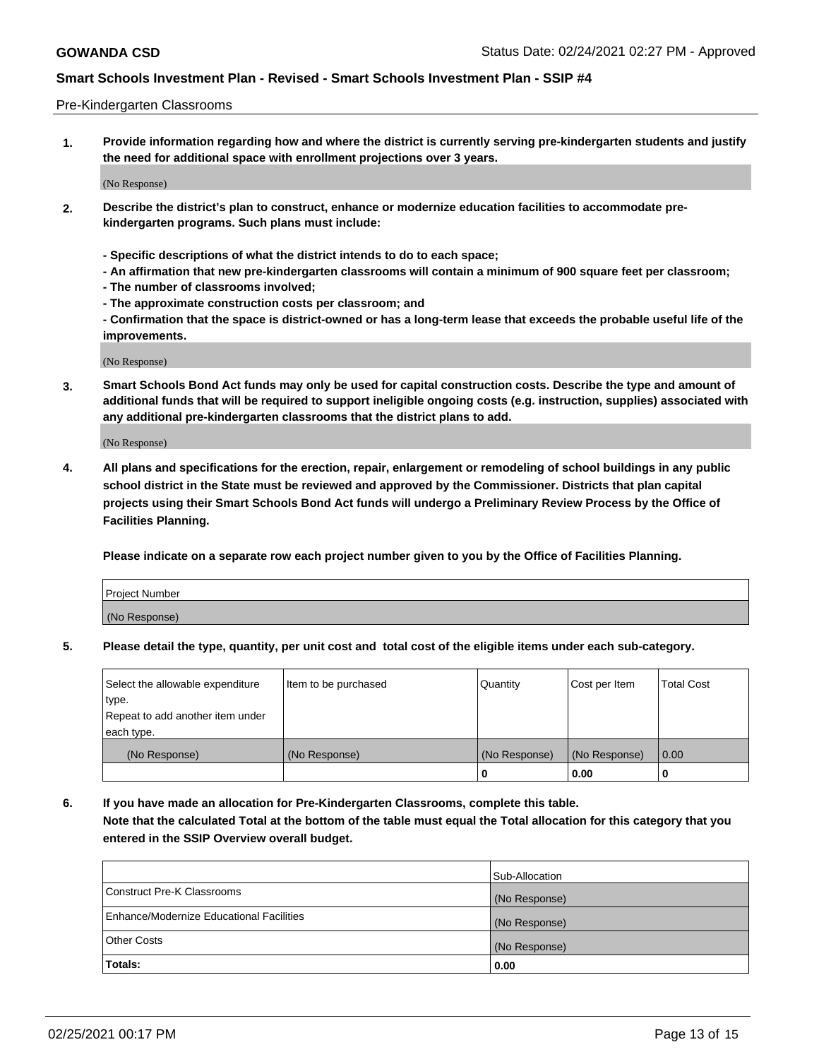### Pre-Kindergarten Classrooms

**1. Provide information regarding how and where the district is currently serving pre-kindergarten students and justify the need for additional space with enrollment projections over 3 years.**

(No Response)

- **2. Describe the district's plan to construct, enhance or modernize education facilities to accommodate prekindergarten programs. Such plans must include:**
	- **Specific descriptions of what the district intends to do to each space;**
	- **An affirmation that new pre-kindergarten classrooms will contain a minimum of 900 square feet per classroom;**
	- **The number of classrooms involved;**
	- **The approximate construction costs per classroom; and**
	- **Confirmation that the space is district-owned or has a long-term lease that exceeds the probable useful life of the improvements.**

(No Response)

**3. Smart Schools Bond Act funds may only be used for capital construction costs. Describe the type and amount of additional funds that will be required to support ineligible ongoing costs (e.g. instruction, supplies) associated with any additional pre-kindergarten classrooms that the district plans to add.**

(No Response)

**4. All plans and specifications for the erection, repair, enlargement or remodeling of school buildings in any public school district in the State must be reviewed and approved by the Commissioner. Districts that plan capital projects using their Smart Schools Bond Act funds will undergo a Preliminary Review Process by the Office of Facilities Planning.**

**Please indicate on a separate row each project number given to you by the Office of Facilities Planning.**

| Project Number |  |
|----------------|--|
| (No Response)  |  |
|                |  |

**5. Please detail the type, quantity, per unit cost and total cost of the eligible items under each sub-category.**

| Select the allowable expenditure | Item to be purchased | Quantity      | Cost per Item | <b>Total Cost</b> |
|----------------------------------|----------------------|---------------|---------------|-------------------|
| type.                            |                      |               |               |                   |
| Repeat to add another item under |                      |               |               |                   |
| each type.                       |                      |               |               |                   |
| (No Response)                    | (No Response)        | (No Response) | (No Response) | 0.00              |
|                                  |                      | υ             | 0.00          |                   |

**6. If you have made an allocation for Pre-Kindergarten Classrooms, complete this table. Note that the calculated Total at the bottom of the table must equal the Total allocation for this category that you entered in the SSIP Overview overall budget.**

|                                          | Sub-Allocation |
|------------------------------------------|----------------|
| Construct Pre-K Classrooms               | (No Response)  |
| Enhance/Modernize Educational Facilities | (No Response)  |
| <b>Other Costs</b>                       | (No Response)  |
| Totals:                                  | 0.00           |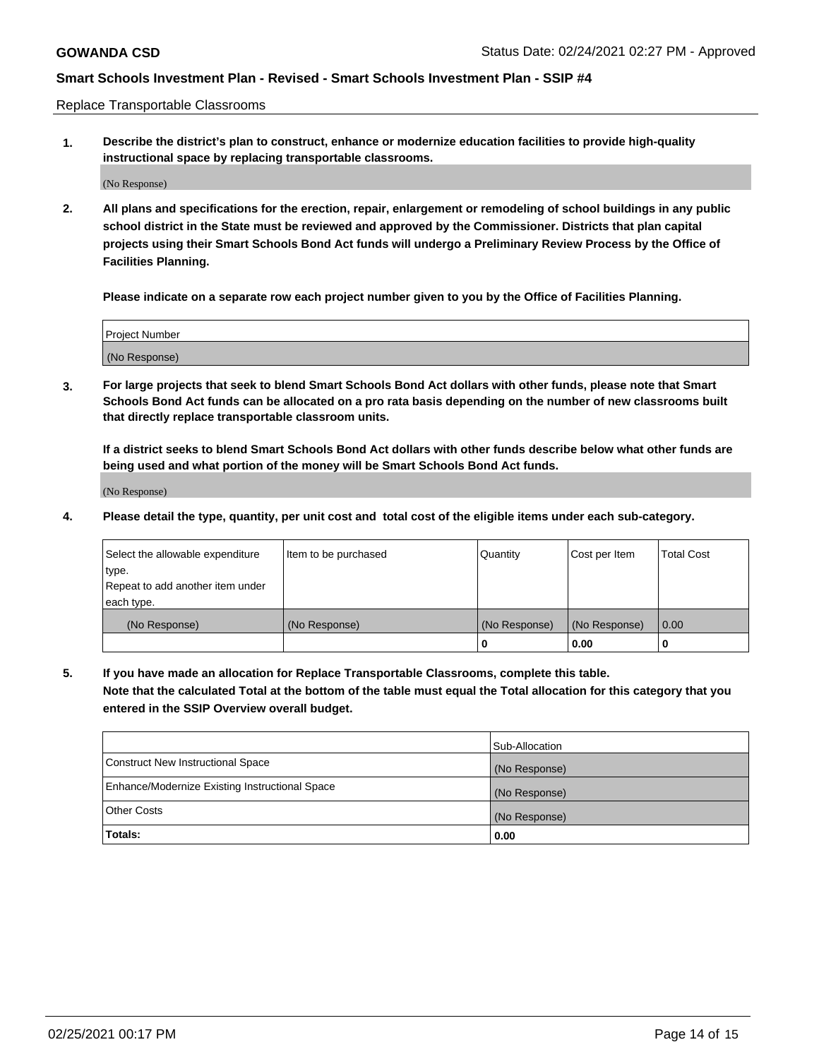Replace Transportable Classrooms

**1. Describe the district's plan to construct, enhance or modernize education facilities to provide high-quality instructional space by replacing transportable classrooms.**

(No Response)

**2. All plans and specifications for the erection, repair, enlargement or remodeling of school buildings in any public school district in the State must be reviewed and approved by the Commissioner. Districts that plan capital projects using their Smart Schools Bond Act funds will undergo a Preliminary Review Process by the Office of Facilities Planning.**

**Please indicate on a separate row each project number given to you by the Office of Facilities Planning.**

| Project Number |  |
|----------------|--|
|                |  |
|                |  |
|                |  |
| (No Response)  |  |
|                |  |
|                |  |

**3. For large projects that seek to blend Smart Schools Bond Act dollars with other funds, please note that Smart Schools Bond Act funds can be allocated on a pro rata basis depending on the number of new classrooms built that directly replace transportable classroom units.**

**If a district seeks to blend Smart Schools Bond Act dollars with other funds describe below what other funds are being used and what portion of the money will be Smart Schools Bond Act funds.**

(No Response)

**4. Please detail the type, quantity, per unit cost and total cost of the eligible items under each sub-category.**

| Select the allowable expenditure | Item to be purchased | Quantity      | Cost per Item | Total Cost |
|----------------------------------|----------------------|---------------|---------------|------------|
| ∣type.                           |                      |               |               |            |
| Repeat to add another item under |                      |               |               |            |
| each type.                       |                      |               |               |            |
| (No Response)                    | (No Response)        | (No Response) | (No Response) | 0.00       |
|                                  |                      | u             | 0.00          |            |

**5. If you have made an allocation for Replace Transportable Classrooms, complete this table. Note that the calculated Total at the bottom of the table must equal the Total allocation for this category that you entered in the SSIP Overview overall budget.**

|                                                | Sub-Allocation |
|------------------------------------------------|----------------|
| Construct New Instructional Space              | (No Response)  |
| Enhance/Modernize Existing Instructional Space | (No Response)  |
| Other Costs                                    | (No Response)  |
| Totals:                                        | 0.00           |